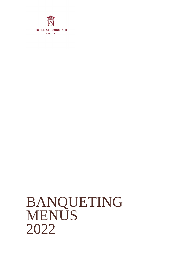

# BANQUETING **MENUS** 2022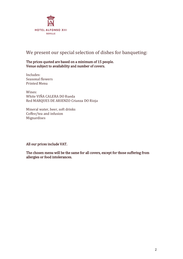

# We present our special selection of dishes for banqueting:

#### The prices quoted are based on a minimum of 15 people. Venue subject to availability and number of covers.

Includes: Seasonal flowers Printed Menu

Wines: White VIÑA CALERA DO Rueda Red MARQUES DE ARIENZO Crianza DO Rioja

Mineral water, beer, soft drinks Coffee/tea and infusion Mignardises

All our prices include VAT.

The chosen menu will be the same for all covers, except for those suffering from allergies or food intolerances.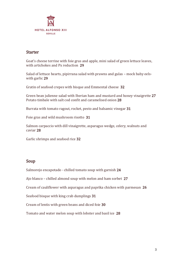

#### **Starter**

Goat's cheese terrine with foie gras and apple, mini salad of green lettuce leaves, with artichokes and Px reduction 29

Salad of lettuce hearts, pipirrana salad with prawns and gulas – mock baby eelswith garlic 29

Gratin of seafood crepes with bisque and Emmental cheese 32

Green bean julienne salad with Iberian ham and mustard and honey vinaigrette 27 Potato timbale with salt cod confit and caramelised onion 28

Burrata with tomato ragout, rocket, pesto and balsamic vinegar 31

Foie gras and wild mushroom risotto 31

Salmon carpaccio with dill vinaigrette, asparagus wedge, celery, walnuts and caviar 28

Garlic shrimps and seafood rice 32

### Soup

Salmorejo encapotado - chilled tomato soup with garnish 24

Ajo blanco – chilled almond soup with melon and ham sorbet 27

Cream of cauliflower with asparagus and paprika chicken with parmesan 26

Seafood bisque with king crab dumplings 31

Cream of lentis with green beans and diced foie 30

Tomato and water melon soup with lobster and basil ice 28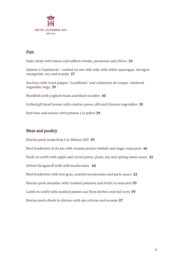

## Fish

Hake steak with lemon and saffron risotto, parmesan and chives 39 Salmon à l'unilateral – cooked on one side only with white asparagus, tarragon vinaigrette, soy and wasabi 37 Sea bass with roast pepper "escalibada" and calamares de campo –battered vegetable rings 39 Monkfish with yoghurt foam and black noodles 43

Grilled gilt head bream with celeriac puree, dill and Chinese vegetables 35 Red tuna and onions with patatas a lo pobre 39

## Meat and poultry

Iberian pork tenderloin à la Alfonso XIII 39 Beef tenderloin in its jus with creamy potato timbale and sugar snap peas 46 Duck en confit with apple and carrot puree, plum, soy and spring onion sauce 32 Sirloin Stroganoff with wild mushrooms 44 Beef tenderloin with foie gras, sautéed mushrooms and paris sauce 53 Iberian pork shoulder with crushed potatoes and fruits in muscatel 39 Lamb en confit with mashed potato aux fines herbes and red curry 39 Iberian pork cheek in oloroso with ajo colorao and sesame 37